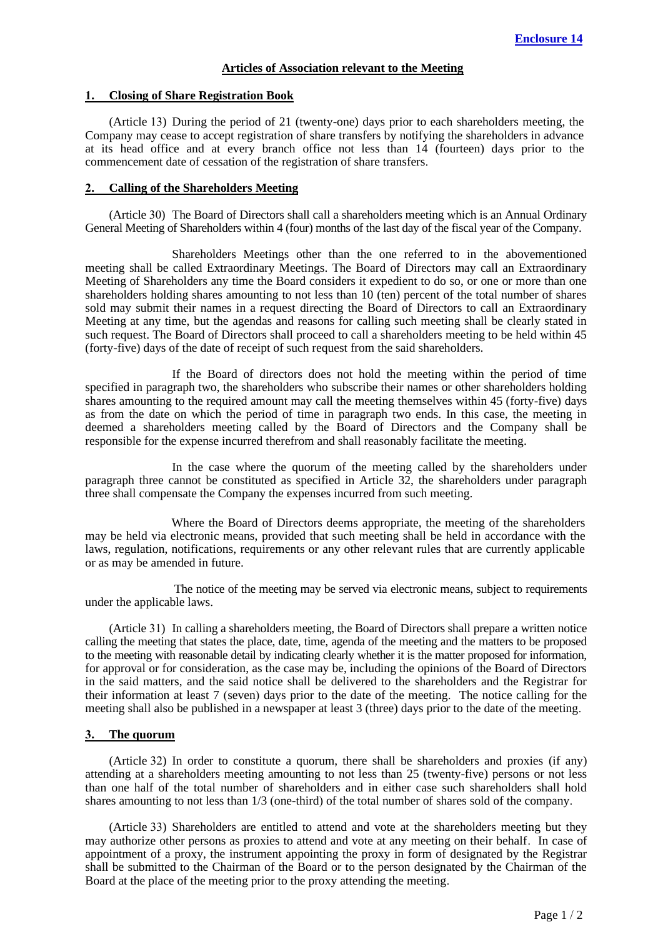## **Articles of Association relevant to the Meeting**

### **1. Closing of Share Registration Book**

(Article 13) During the period of 21 (twenty-one) days prior to each shareholders meeting, the Company may cease to accept registration of share transfers by notifying the shareholders in advance at its head office and at every branch office not less than 14 (fourteen) days prior to the commencement date of cessation of the registration of share transfers.

### **2. Calling of the Shareholders Meeting**

(Article 30) The Board of Directors shall call a shareholders meeting which is an Annual Ordinary General Meeting of Shareholders within 4 (four) months of the last day of the fiscal year of the Company.

 Shareholders Meetings other than the one referred to in the abovementioned meeting shall be called Extraordinary Meetings. The Board of Directors may call an Extraordinary Meeting of Shareholders any time the Board considers it expedient to do so, or one or more than one shareholders holding shares amounting to not less than 10 (ten) percent of the total number of shares sold may submit their names in a request directing the Board of Directors to call an Extraordinary Meeting at any time, but the agendas and reasons for calling such meeting shall be clearly stated in such request. The Board of Directors shall proceed to call a shareholders meeting to be held within 45 (forty-five) days of the date of receipt of such request from the said shareholders.

 If the Board of directors does not hold the meeting within the period of time specified in paragraph two, the shareholders who subscribe their names or other shareholders holding shares amounting to the required amount may call the meeting themselves within 45 (forty-five) days as from the date on which the period of time in paragraph two ends. In this case, the meeting in deemed a shareholders meeting called by the Board of Directors and the Company shall be responsible for the expense incurred therefrom and shall reasonably facilitate the meeting.

 In the case where the quorum of the meeting called by the shareholders under paragraph three cannot be constituted as specified in Article 32, the shareholders under paragraph three shall compensate the Company the expenses incurred from such meeting.

 Where the Board of Directors deems appropriate, the meeting of the shareholders may be held via electronic means, provided that such meeting shall be held in accordance with the laws, regulation, notifications, requirements or any other relevant rules that are currently applicable or as may be amended in future.

 The notice of the meeting may be served via electronic means, subject to requirements under the applicable laws.

(Article 31) In calling a shareholders meeting, the Board of Directors shall prepare a written notice calling the meeting that states the place, date, time, agenda of the meeting and the matters to be proposed to the meeting with reasonable detail by indicating clearly whether it is the matter proposed for information, for approval or for consideration, as the case may be, including the opinions of the Board of Directors in the said matters, and the said notice shall be delivered to the shareholders and the Registrar for their information at least 7 (seven) days prior to the date of the meeting. The notice calling for the meeting shall also be published in a newspaper at least 3 (three) days prior to the date of the meeting.

### **3. The quorum**

(Article 32) In order to constitute a quorum, there shall be shareholders and proxies (if any) attending at a shareholders meeting amounting to not less than 25 (twenty-five) persons or not less than one half of the total number of shareholders and in either case such shareholders shall hold shares amounting to not less than 1/3 (one-third) of the total number of shares sold of the company.

(Article 33) Shareholders are entitled to attend and vote at the shareholders meeting but they may authorize other persons as proxies to attend and vote at any meeting on their behalf. In case of appointment of a proxy, the instrument appointing the proxy in form of designated by the Registrar shall be submitted to the Chairman of the Board or to the person designated by the Chairman of the Board at the place of the meeting prior to the proxy attending the meeting.